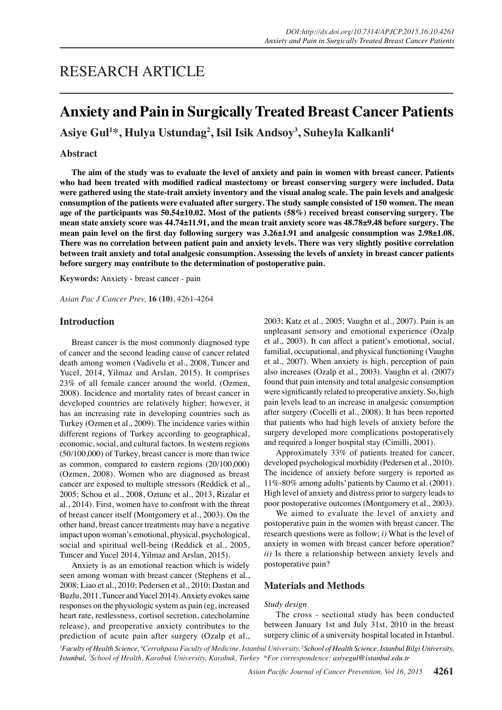# RESEARCH ARTICLE

# **Anxiety and Pain in Surgically Treated Breast Cancer Patients**

**Asiye Gul1 \*, Hulya Ustundag<sup>2</sup> , Isil Isik Andsoy3 , Suheyla Kalkanli<sup>4</sup>**

## **Abstract**

**The aim of the study was to evaluate the level of anxiety and pain in women with breast cancer. Patients who had been treated with modified radical mastectomy or breast conserving surgery were included. Data were gathered using the state-trait anxiety inventory and the visual analog scale. The pain levels and analgesic consumption of the patients were evaluated after surgery. The study sample consisted of 150 women. The mean age of the participants was 50.54±10.02. Most of the patients (58%) received breast conserving surgery. The mean state anxiety score was 44.74±11.91, and the mean trait anxiety score was 48.78±9.48 before surgery. The mean pain level on the first day following surgery was 3.26±1.91 and analgesic consumption was 2.98±1.08. There was no correlation between patient pain and anxiety levels. There was very slightly positive correlation between trait anxiety and total analgesic consumption. Assessing the levels of anxiety in breast cancer patients before surgery may contribute to the determination of postoperative pain.**

**Keywords:** Anxiety - breast cancer - pain

*Asian Pac J Cancer Prev,* **16 (10)**, 4261-4264

## **Introduction**

Breast cancer is the most commonly diagnosed type of cancer and the second leading cause of cancer related death among women (Vadivelu et al., 2008, Tuncer and Yucel, 2014, Yilmaz and Arslan, 2015). It comprises 23% of all female cancer around the world. (Ozmen, 2008). Incidence and mortality rates of breast cancer in developed countries are relatively higher; however, it has an increasing rate in developing countries such as Turkey (Ozmen et al., 2009). The incidence varies within different regions of Turkey according to geographical, economic, social, and cultural factors. In western regions (50/100,000) of Turkey, breast cancer is more than twice as common, compared to eastern regions (20/100,000) (Ozmen, 2008). Women who are diagnosed as breast cancer are exposed to multiple stressors (Reddick et al., 2005; Schou et al., 2008, Oztunc et al., 2013, Rizalar et al., 2014). First, women have to confront with the threat of breast cancer itself (Montgomery et al., 2003). On the other hand, breast cancer treatments may have a negative impact upon woman's emotional, physical, psychological, social and spiritual well-being (Reddick et al., 2005, Tuncer and Yucel 2014, Yilmaz and Arslan, 2015).

Anxiety is as an emotional reaction which is widely seen among woman with breast cancer (Stephens et al., 2008; Liao et al., 2010; Pedersen et al., 2010; Dastan and Buzlu, 2011, Tuncer and Yucel 2014). Anxiety evokes same responses on the physiologic system as pain (eg, increased heart rate, restlessness, cortisol secretion, catecholamine release), and preoperative anxiety contributes to the prediction of acute pain after surgery (Ozalp et al., 2003; Katz et al., 2005; Vaughn et al., 2007). Pain is an unpleasant sensory and emotional experience (Ozalp et al., 2003). It can affect a patient's emotional, social, familial, occupational, and physical functioning (Vaughn et al., 2007). When anxiety is high, perception of pain also increases (Ozalp et al., 2003). Vaughn et al. (2007) found that pain intensity and total analgesic consumption were significantly related to preoperative anxiety. So, high pain levels lead to an increase in analgesic consumption after surgery (Cocelli et al., 2008). It has been reported that patients who had high levels of anxiety before the surgery developed more complications postoperatively and required a longer hospital stay (Cimilli, 2001).

Approximately 33% of patients treated for cancer, developed psychological morbidity (Pedersen et al., 2010). The incidence of anxiety before surgery is reported as 11%-80% among adults' patients by Caumo et al. (2001). High level of anxiety and distress prior to surgery leads to poor postoperative outcomes (Montgomery et al., 2003).

We aimed to evaluate the level of anxiety and postoperative pain in the women with breast cancer. The research questions were as follow; *i)* What is the level of anxiety in women with breast cancer before operation? *ii)* Is there a relationship between anxiety levels and postoperative pain?

## **Materials and Methods**

#### *Study design*

The cross - sectional study has been conducted between January 1st and July 31st, 2010 in the breast surgery clinic of a university hospital located in Istanbul.

*1 Faculty of Health Science, 4 Cerrahpasa Faculty of Medicine, Istanbul University, 2 School of Health Science, Istanbul Bilgi University, Istanbul, 3 School of Health, Karabuk University, Karabuk, Turkey \*For correspondence: asiyegul@istanbul.edu.tr*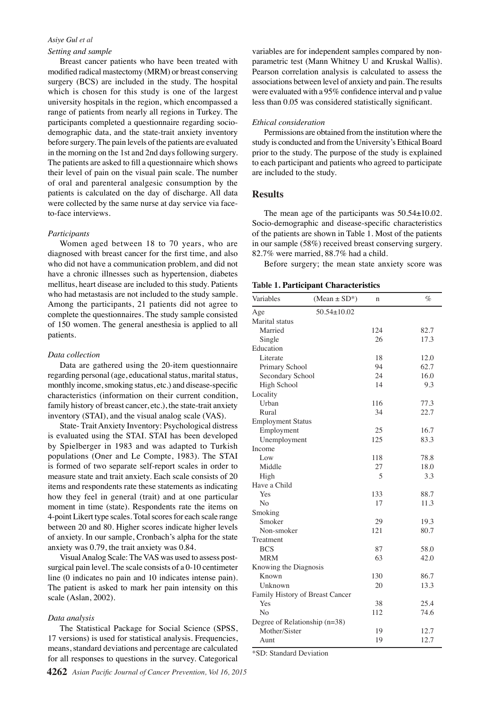## *Asiye Gul et al*

## *Setting and sample*

Breast cancer patients who have been treated with modified radical mastectomy (MRM) or breast conserving surgery (BCS) are included in the study. The hospital which is chosen for this study is one of the largest university hospitals in the region, which encompassed a range of patients from nearly all regions in Turkey. The participants completed a questionnaire regarding sociodemographic data, and the state-trait anxiety inventory before surgery. The pain levels of the patients are evaluated in the morning on the 1st and 2nd days following surgery. The patients are asked to fill a questionnaire which shows their level of pain on the visual pain scale. The number of oral and parenteral analgesic consumption by the patients is calculated on the day of discharge. All data were collected by the same nurse at day service via faceto-face interviews.

## *Participants*

Women aged between 18 to 70 years, who are diagnosed with breast cancer for the first time, and also who did not have a communication problem, and did not have a chronic illnesses such as hypertension, diabetes mellitus, heart disease are included to this study. Patients who had metastasis are not included to the study sample. Among the participants, 21 patients did not agree to complete the questionnaires. The study sample consisted of 150 women. The general anesthesia is applied to all patients.

#### *Data collection*

Data are gathered using the 20-item questionnaire regarding personal (age, educational status, marital status, monthly income, smoking status, etc.) and disease-specific characteristics (information on their current condition, family history of breast cancer, etc.), the state-trait anxiety inventory (STAI), and the visual analog scale (VAS).

State- Trait Anxiety Inventory: Psychological distress is evaluated using the STAI. STAI has been developed by Spielberger in 1983 and was adapted to Turkish populations (Oner and Le Compte, 1983). The STAI is formed of two separate self-report scales in order to measure state and trait anxiety. Each scale consists of 20 items and respondents rate these statements as indicating how they feel in general (trait) and at one particular moment in time (state). Respondents rate the items on 4-point Likert type scales. Total scores for each scale range between 20 and 80. Higher scores indicate higher levels of anxiety. In our sample, Cronbach's alpha for the state anxiety was 0.79, the trait anxiety was 0.84.

Visual Analog Scale: The VAS was used to assess postsurgical pain level. The scale consists of a 0-10 centimeter line (0 indicates no pain and 10 indicates intense pain). The patient is asked to mark her pain intensity on this scale (Aslan, 2002).

#### *Data analysis*

The Statistical Package for Social Science (SPSS, 17 versions) is used for statistical analysis. Frequencies, means, standard deviations and percentage are calculated for all responses to questions in the survey. Categorical

variables are for independent samples compared by nonparametric test (Mann Whitney U and Kruskal Wallis). Pearson correlation analysis is calculated to assess the associations between level of anxiety and pain. The results were evaluated with a 95% confidence interval and p value less than 0.05 was considered statistically significant.

#### *Ethical consideration*

Permissions are obtained from the institution where the study is conducted and from the University's Ethical Board prior to the study. The purpose of the study is explained to each participant and patients who agreed to participate are included to the study.

## **Results**

The mean age of the participants was  $50.54 \pm 10.02$ . Socio-demographic and disease-specific characteristics of the patients are shown in Table 1. Most of the patients in our sample (58%) received breast conserving surgery. 82.7% were married, 88.7% had a child.

Before surgery; the mean state anxiety score was

**Table 1. Participant Characteristics**

| Variables                       | $(Mean \pm SD^*)$ | $\mathbf n$ | %    |
|---------------------------------|-------------------|-------------|------|
| Age                             | $50.54 \pm 10.02$ |             |      |
| Marital status                  |                   |             |      |
| Married                         |                   | 124         | 82.7 |
| Single                          |                   | 26          | 17.3 |
| Education                       |                   |             |      |
| Literate                        |                   | 18          | 12.0 |
| Primary School                  |                   | 94          | 62.7 |
| Secondary School                |                   | 24          | 16.0 |
| High School                     |                   | 14          | 9.3  |
| Locality                        |                   |             |      |
| Urban                           |                   | 116         | 77.3 |
| Rural                           |                   | 34          | 22.7 |
| <b>Employment Status</b>        |                   |             |      |
| Employment                      |                   | 25          | 16.7 |
| Unemployment                    |                   | 125         | 83.3 |
| Income                          |                   |             |      |
| Low                             |                   | 118         | 78.8 |
| Middle                          |                   | 27          | 18.0 |
| High                            |                   | 5           | 3.3  |
| Have a Child                    |                   |             |      |
| Yes                             |                   | 133         | 88.7 |
| No                              |                   | 17          | 11.3 |
| Smoking                         |                   |             |      |
| Smoker                          |                   | 29          | 19.3 |
| Non-smoker                      |                   | 121         | 80.7 |
| Treatment                       |                   |             |      |
| <b>BCS</b>                      |                   | 87          | 58.0 |
| <b>MRM</b>                      |                   | 63          | 42.0 |
| Knowing the Diagnosis           |                   |             |      |
| Known                           |                   | 130         | 86.7 |
| Unknown                         |                   | 20          | 13.3 |
| Family History of Breast Cancer |                   |             |      |
| Yes                             |                   | 38          | 25.4 |
| N <sub>0</sub>                  |                   | 112         | 74.6 |
| Degree of Relationship $(n=38)$ |                   |             |      |
| Mother/Sister                   |                   | 19          | 12.7 |
| Aunt                            |                   | 19          | 12.7 |

\*SD: Standard Deviation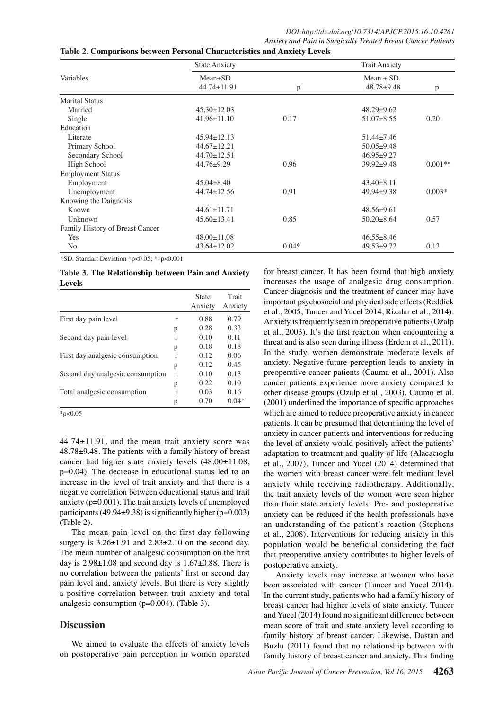| Variables                       | <b>State Anxiety</b>         | <b>Trait Anxiety</b> |                                 |           |
|---------------------------------|------------------------------|----------------------|---------------------------------|-----------|
|                                 | $Mean \pm SD$<br>44.74±11.91 | p                    | $Mean \pm SD$<br>$48.78 + 9.48$ | p         |
| <b>Marital Status</b>           |                              |                      |                                 |           |
| Married                         | $45.30 \pm 12.03$            |                      | $48.29 + 9.62$                  |           |
| Single                          | $41.96 \pm 11.10$            | 0.17                 | $51.07\pm8.55$                  | 0.20      |
| Education                       |                              |                      |                                 |           |
| Literate                        | $45.94 \pm 12.13$            |                      | $51.44 + 7.46$                  |           |
| Primary School                  | $44.67 \pm 12.21$            |                      | $50.05+9.48$                    |           |
| Secondary School                | $44.70 \pm 12.51$            |                      | $46.95+9.27$                    |           |
| High School                     | $44.76 + 9.29$               | 0.96                 | $39.92+9.48$                    | $0.001**$ |
| <b>Employment Status</b>        |                              |                      |                                 |           |
| Employment                      | $45.04 + 8.40$               |                      | $43.40\pm8.11$                  |           |
| Unemployment                    | $44.74 \pm 12.56$            | 0.91                 | $49.94 + 9.38$                  | $0.003*$  |
| Knowing the Daignosis           |                              |                      |                                 |           |
| Known                           | $44.61 \pm 11.71$            |                      | $48.56 \pm 9.61$                |           |
| Unknown                         | $45.60 \pm 13.41$            | 0.85                 | $50.20 + 8.64$                  | 0.57      |
| Family History of Breast Cancer |                              |                      |                                 |           |
| Yes                             | $48.00 \pm 11.08$            |                      | $46.55 \pm 8.46$                |           |
| No                              | $43.64 \pm 12.02$            | $0.04*$              | $49.53 + 9.72$                  | 0.13      |

\*SD: Standart Deviation \*p<0.05; \*\*p<0.001

**Table 3. The Relationship between Pain and Anxiety Levels** 

|                                  |              | <b>State</b><br>Anxiety | Trait<br>Anxiety |
|----------------------------------|--------------|-------------------------|------------------|
| First day pain level             | r            | 0.88                    | 0.79             |
|                                  | р            | 0.28                    | 0.33             |
| Second day pain level            | r            | 0.10                    | 0.11             |
|                                  | р            | 0.18                    | 0.18             |
| First day analgesic consumption  | r            | 0.12                    | 0.06             |
|                                  | р            | 0.12                    | 0.45             |
| Second day analgesic consumption | $\mathbf{r}$ | 0.10                    | 0.13             |
|                                  | р            | 0.22                    | 0.10             |
| Total analgesic consumption      | r            | 0.03                    | 0.16             |
|                                  | р            | 0.70                    | $0.04*$          |

 $*p<0.05$ 

44.74±11.91, and the mean trait anxiety score was 48.78±9.48. The patients with a family history of breast cancer had higher state anxiety levels (48.00±11.08, p=0.04). The decrease in educational status led to an increase in the level of trait anxiety and that there is a negative correlation between educational status and trait anxiety (p=0.001). The trait anxiety levels of unemployed participants (49.94 $\pm$ 9.38) is significantly higher (p=0.003) (Table 2).

The mean pain level on the first day following surgery is  $3.26 \pm 1.91$  and  $2.83 \pm 2.10$  on the second day. The mean number of analgesic consumption on the first day is  $2.98\pm1.08$  and second day is  $1.67\pm0.88$ . There is no correlation between the patients' first or second day pain level and, anxiety levels. But there is very slightly a positive correlation between trait anxiety and total analgesic consumption (p=0.004). (Table 3).

# **Discussion**

We aimed to evaluate the effects of anxiety levels on postoperative pain perception in women operated

for breast cancer. It has been found that high anxiety increases the usage of analgesic drug consumption. Cancer diagnosis and the treatment of cancer may have important psychosocial and physical side effects (Reddick et al., 2005, Tuncer and Yucel 2014, Rizalar et al., 2014). Anxiety is frequently seen in preoperative patients (Ozalp et al., 2003). It's the first reaction when encountering a threat and is also seen during illness (Erdem et al., 2011). In the study, women demonstrate moderate levels of anxiety. Negative future perception leads to anxiety in preoperative cancer patients (Cauma et al., 2001). Also cancer patients experience more anxiety compared to other disease groups (Ozalp et al., 2003). Caumo et al. (2001) underlined the importance of specific approaches which are aimed to reduce preoperative anxiety in cancer patients. It can be presumed that determining the level of anxiety in cancer patients and interventions for reducing the level of anxiety would positively affect the patients' adaptation to treatment and quality of life (Alacacıoglu et al., 2007). Tuncer and Yucel (2014) determined that the women with breast cancer were felt medium level anxiety while receiving radiotherapy. Additionally, the trait anxiety levels of the women were seen higher than their state anxiety levels. Pre- and postoperative anxiety can be reduced if the health professionals have an understanding of the patient's reaction (Stephens et al., 2008). Interventions for reducing anxiety in this population would be beneficial considering the fact that preoperative anxiety contributes to higher levels of postoperative anxiety.

Anxiety levels may increase at women who have been associated with cancer (Tuncer and Yucel 2014). In the current study, patients who had a family history of breast cancer had higher levels of state anxiety. Tuncer and Yucel (2014) found no significant difference between mean score of trait and state anxiety level according to family history of breast cancer. Likewise, Dastan and Buzlu (2011) found that no relationship between with family history of breast cancer and anxiety. This finding